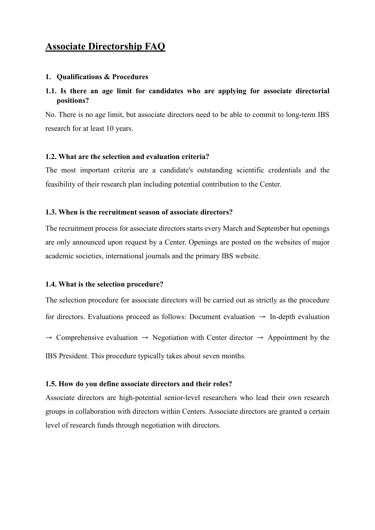## **Associate Directorship FAQ**

#### **1. Qualifications & Procedures**

## **1.1. Is there an age limit for candidates who are applying for associate directorial positions?**

No. There is no age limit, but associate directors need to be able to commit to long-term IBS research for at least 10 years.

#### **1.2. What are the selection and evaluation criteria?**

The most important criteria are a candidate's outstanding scientific credentials and the feasibility of their research plan including potential contribution to the Center.

#### **1.3. When is the recruitment season of associate directors?**

The recruitment process for associate directors starts every March and September but openings are only announced upon request by a Center. Openings are posted on the websites of major academic societies, international journals and the primary IBS website.

#### **1.4. What is the selection procedure?**

The selection procedure for associate directors will be carried out as strictly as the procedure for directors. Evaluations proceed as follows: Document evaluation  $\rightarrow$  In-depth evaluation  $\rightarrow$  Comprehensive evaluation  $\rightarrow$  Negotiation with Center director  $\rightarrow$  Appointment by the IBS President. This procedure typically takes about seven months.

#### **1.5. How do you define associate directors and their roles?**

Associate directors are high-potential senior-level researchers who lead their own research groups in collaboration with directors within Centers. Associate directors are granted a certain level of research funds through negotiation with directors.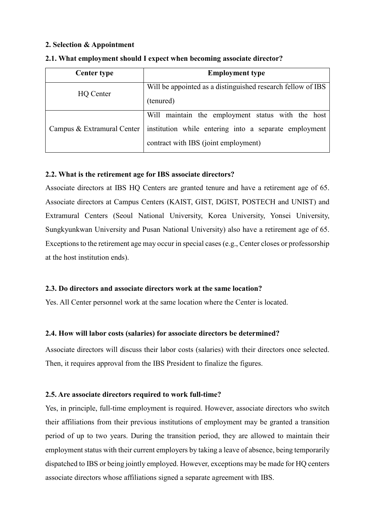## **2. Selection & Appointment**

| <b>Center type</b>         | <b>Employment type</b>                                      |
|----------------------------|-------------------------------------------------------------|
| HQ Center                  | Will be appointed as a distinguished research fellow of IBS |
|                            | (tenured)                                                   |
| Campus & Extramural Center | Will maintain the employment status with the host           |
|                            | institution while entering into a separate employment       |
|                            | contract with IBS (joint employment)                        |

#### **2.1. What employment should I expect when becoming associate director?**

## **2.2. What is the retirement age for IBS associate directors?**

Associate directors at IBS HQ Centers are granted tenure and have a retirement age of 65. Associate directors at Campus Centers (KAIST, GIST, DGIST, POSTECH and UNIST) and Extramural Centers (Seoul National University, Korea University, Yonsei University, Sungkyunkwan University and Pusan National University) also have a retirement age of 65. Exceptions to the retirement age may occur in special cases (e.g., Center closes or professorship at the host institution ends).

## **2.3. Do directors and associate directors work at the same location?**

Yes. All Center personnel work at the same location where the Center is located.

## **2.4. How will labor costs (salaries) for associate directors be determined?**

Associate directors will discuss their labor costs (salaries) with their directors once selected. Then, it requires approval from the IBS President to finalize the figures.

## **2.5. Are associate directors required to work full-time?**

Yes, in principle, full-time employment is required. However, associate directors who switch their affiliations from their previous institutions of employment may be granted a transition period of up to two years. During the transition period, they are allowed to maintain their employment status with their current employers by taking a leave of absence, being temporarily dispatched to IBS or being jointly employed. However, exceptions may be made for HQ centers associate directors whose affiliations signed a separate agreement with IBS.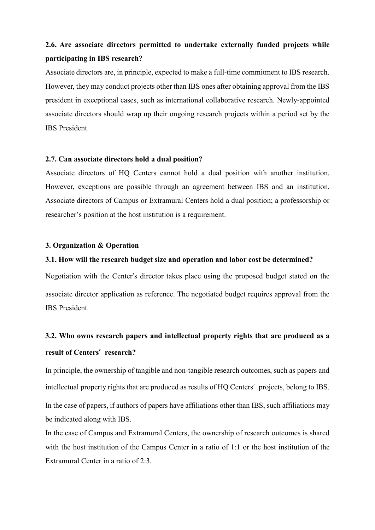# **2.6. Are associate directors permitted to undertake externally funded projects while participating in IBS research?**

Associate directors are, in principle, expected to make a full-time commitment to IBS research. However, they may conduct projects other than IBS ones after obtaining approval from the IBS president in exceptional cases, such as international collaborative research. Newly-appointed associate directors should wrap up their ongoing research projects within a period set by the IBS President.

#### **2.7. Can associate directors hold a dual position?**

Associate directors of HQ Centers cannot hold a dual position with another institution. However, exceptions are possible through an agreement between IBS and an institution. Associate directors of Campus or Extramural Centers hold a dual position; a professorship or researcher's position at the host institution is a requirement.

## **3. Organization & Operation**

#### **3.1. How will the research budget size and operation and labor cost be determined?**

Negotiation with the Center's director takes place using the proposed budget stated on the associate director application as reference. The negotiated budget requires approval from the IBS President.

# **3.2. Who owns research papers and intellectual property rights that are produced as a result of Centers' research?**

In principle, the ownership of tangible and non-tangible research outcomes, such as papers and intellectual property rights that are produced as results of HQ Centers' projects, belong to IBS. In the case of papers, if authors of papers have affiliations other than IBS, such affiliations may be indicated along with IBS.

In the case of Campus and Extramural Centers, the ownership of research outcomes is shared with the host institution of the Campus Center in a ratio of 1:1 or the host institution of the Extramural Center in a ratio of 2:3.